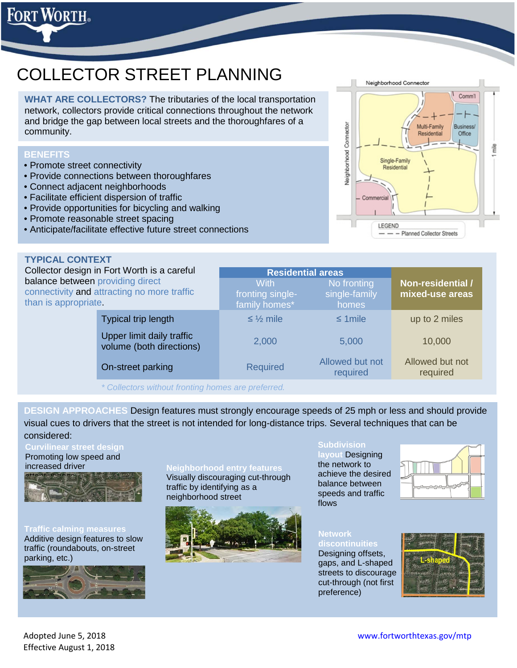# COLLECTOR STREET PLANNING

**WHAT ARE COLLECTORS?** The tributaries of the local transportation network, collectors provide critical connections throughout the network and bridge the gap between local streets and the thoroughfares of a community.

# **BENEFITS**

rt Worth.

- Promote street connectivity
- Provide connections between thoroughfares
- Connect adjacent neighborhoods
- Facilitate efficient dispersion of traffic
- Provide opportunities for bicycling and walking
- Promote reasonable street spacing
- Anticipate/facilitate effective future street connections

# **TYPICAL CONTEXT**

Collector design in Fort Worth is a careful balance between providing direct connectivity and attracting no more traffic than is appropriate.

**mixed-use areas** fronting singlefamily homes\* single-family homes Typical trip length  $\leq \frac{1}{2}$  mile  $\leq \frac{1}{2}$  mile  $\leq \frac{1}{2}$  mile up to 2 miles Upper limit daily traffic volume (both directions) and the 2,000 10,000 10,000 10,000 10,000 10,000 10,000 10,000 10,000 10,000 10,000 10 On-street parking Required Allowed but not required Allowed but not required

**With** 

**Residential areas**

*\* Collectors without fronting homes are preferred.*

**DESIGN APPROACHES** Design features must strongly encourage speeds of 25 mph or less and should provide visual cues to drivers that the street is not intended for long-distance trips. Several techniques that can be considered:

# **Curvilinear street design**

Promoting low speed and increased driver



#### **Traffic calming measures** Additive design features to slow traffic (roundabouts, on-street parking, etc.)



**Neighborhood entry features** Visually discouraging cut-through traffic by identifying as a neighborhood street



#### **Subdivision**

**layout** Designing the network to achieve the desired balance between speeds and traffic flows

No fronting



# **Network**

Designing offsets, gaps, and L-shaped streets to discourage cut-through (not first preference)





**Non-residential /**